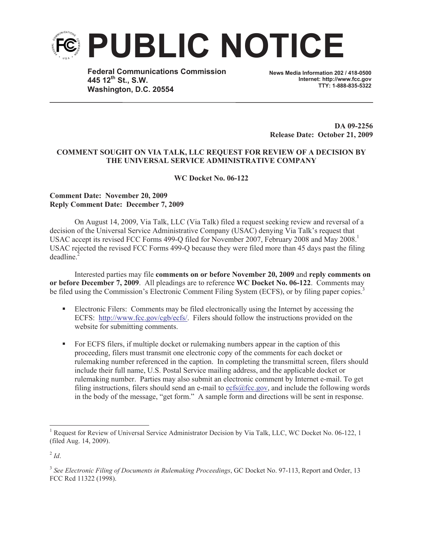

**Federal Communications Commission 445 12th St., S.W. Washington, D.C. 20554**

**News Media Information 202 / 418-0500 Internet: http://www.fcc.gov TTY: 1-888-835-5322**

**DA 09-2256 Release Date: October 21, 2009**

## **COMMENT SOUGHT ON VIA TALK, LLC REQUEST FOR REVIEW OF A DECISION BY THE UNIVERSAL SERVICE ADMINISTRATIVE COMPANY**

**WC Docket No. 06-122**

## **Comment Date: November 20, 2009 Reply Comment Date: December 7, 2009**

On August 14, 2009, Via Talk, LLC (Via Talk) filed a request seeking review and reversal of a decision of the Universal Service Administrative Company (USAC) denying Via Talk's request that USAC accept its revised FCC Forms 499-Q filed for November 2007, February 2008 and May 2008.<sup>1</sup> USAC rejected the revised FCC Forms 499-Q because they were filed more than 45 days past the filing  $deadline<sup>2</sup>$ 

Interested parties may file **comments on or before November 20, 2009** and **reply comments on or before December 7, 2009**. All pleadings are to reference **WC Docket No. 06-122**. Comments may be filed using the Commission's Electronic Comment Filing System (ECFS), or by filing paper copies.<sup>3</sup>

- Electronic Filers: Comments may be filed electronically using the Internet by accessing the ECFS: http://www.fcc.gov/cgb/ecfs/. Filers should follow the instructions provided on the website for submitting comments.
- For ECFS filers, if multiple docket or rulemaking numbers appear in the caption of this proceeding, filers must transmit one electronic copy of the comments for each docket or rulemaking number referenced in the caption. In completing the transmittal screen, filers should include their full name, U.S. Postal Service mailing address, and the applicable docket or rulemaking number. Parties may also submit an electronic comment by Internet e-mail. To get filing instructions, filers should send an e-mail to ecfs@fcc.gov, and include the following words in the body of the message, "get form." A sample form and directions will be sent in response.

<sup>&</sup>lt;sup>1</sup> Request for Review of Universal Service Administrator Decision by Via Talk, LLC, WC Docket No. 06-122, 1 (filed Aug. 14, 2009).

 $^{2}$ *Id*.

<sup>&</sup>lt;sup>3</sup> See Electronic Filing of Documents in Rulemaking Proceedings, GC Docket No. 97-113, Report and Order, 13 FCC Rcd 11322 (1998).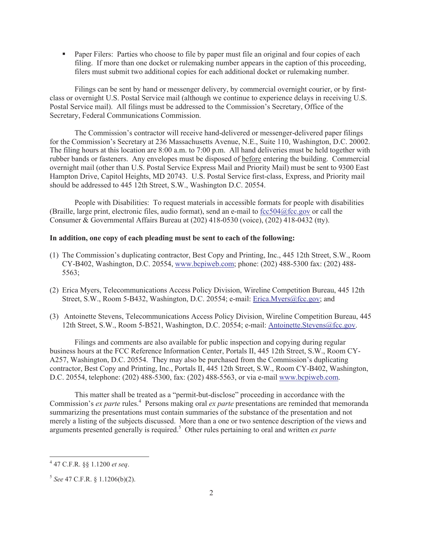• Paper Filers: Parties who choose to file by paper must file an original and four copies of each filing. If more than one docket or rulemaking number appears in the caption of this proceeding, filers must submit two additional copies for each additional docket or rulemaking number.

Filings can be sent by hand or messenger delivery, by commercial overnight courier, or by firstclass or overnight U.S. Postal Service mail (although we continue to experience delays in receiving U.S. Postal Service mail). All filings must be addressed to the Commission's Secretary, Office of the Secretary, Federal Communications Commission.

The Commission's contractor will receive hand-delivered or messenger-delivered paper filings for the Commission's Secretary at 236 Massachusetts Avenue, N.E., Suite 110, Washington, D.C. 20002. The filing hours at this location are 8:00 a.m. to 7:00 p.m. All hand deliveries must be held together with rubber bands or fasteners. Any envelopes must be disposed of before entering the building. Commercial overnight mail (other than U.S. Postal Service Express Mail and Priority Mail) must be sent to 9300 East Hampton Drive, Capitol Heights, MD 20743. U.S. Postal Service first-class, Express, and Priority mail should be addressed to 445 12th Street, S.W., Washington D.C. 20554.

People with Disabilities: To request materials in accessible formats for people with disabilities (Braille, large print, electronic files, audio format), send an e-mail to fcc504@fcc.gov or call the Consumer & Governmental Affairs Bureau at (202) 418-0530 (voice), (202) 418-0432 (tty).

## **In addition, one copy of each pleading must be sent to each of the following:**

- (1) The Commission's duplicating contractor, Best Copy and Printing, Inc., 445 12th Street, S.W., Room CY-B402, Washington, D.C. 20554, www.bcpiweb.com; phone: (202) 488-5300 fax: (202) 488- 5563;
- (2) Erica Myers, Telecommunications Access Policy Division, Wireline Competition Bureau, 445 12th Street, S.W., Room 5-B432, Washington, D.C. 20554; e-mail: Erica.Myers@fcc.gov; and
- (3) Antoinette Stevens, Telecommunications Access Policy Division, Wireline Competition Bureau, 445 12th Street, S.W., Room 5-B521, Washington, D.C. 20554; e-mail: Antoinette.Stevens@fcc.gov.

Filings and comments are also available for public inspection and copying during regular business hours at the FCC Reference Information Center, Portals II, 445 12th Street, S.W., Room CY-A257, Washington, D.C. 20554. They may also be purchased from the Commission's duplicating contractor, Best Copy and Printing, Inc., Portals II, 445 12th Street, S.W., Room CY-B402, Washington, D.C. 20554, telephone: (202) 488-5300, fax: (202) 488-5563, or via e-mail www.bcpiweb.com.

This matter shall be treated as a "permit-but-disclose" proceeding in accordance with the Commission's *ex parte* rules.<sup>4</sup> Persons making oral *ex parte* presentations are reminded that memoranda summarizing the presentations must contain summaries of the substance of the presentation and not merely a listing of the subjects discussed. More than a one or two sentence description of the views and arguments presented generally is required.<sup>5</sup> Other rules pertaining to oral and written *ex parte*

<sup>4</sup> 47 C.F.R. §§ 1.1200 *et seq*.

<sup>5</sup> *See* 47 C.F.R. § 1.1206(b)(2).